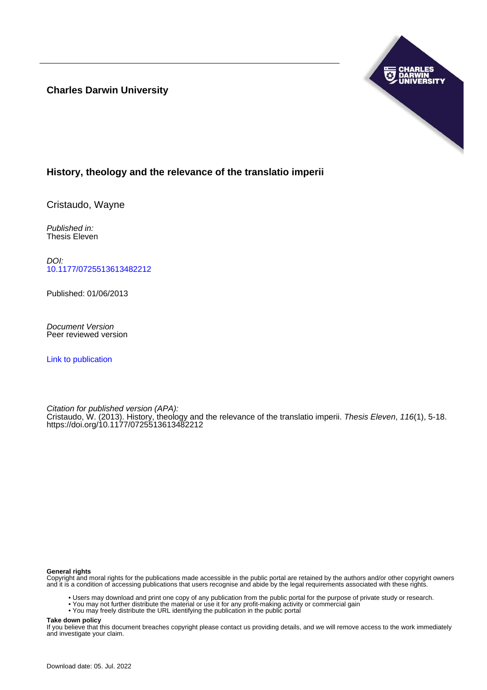**Charles Darwin University**



## **History, theology and the relevance of the translatio imperii**

Cristaudo, Wayne

Published in: Thesis Eleven

DOI: [10.1177/0725513613482212](https://doi.org/10.1177/0725513613482212)

Published: 01/06/2013

Document Version Peer reviewed version

[Link to publication](https://researchers.cdu.edu.au/en/publications/d33b609e-085f-471b-8dca-a61ce00dd3bf)

Citation for published version (APA): Cristaudo, W. (2013). History, theology and the relevance of the translatio imperii. Thesis Eleven, 116(1), 5-18. <https://doi.org/10.1177/0725513613482212>

## **General rights**

Copyright and moral rights for the publications made accessible in the public portal are retained by the authors and/or other copyright owners and it is a condition of accessing publications that users recognise and abide by the legal requirements associated with these rights.

- Users may download and print one copy of any publication from the public portal for the purpose of private study or research.
- You may not further distribute the material or use it for any profit-making activity or commercial gain
- You may freely distribute the URL identifying the publication in the public portal

**Take down policy**

If you believe that this document breaches copyright please contact us providing details, and we will remove access to the work immediately and investigate your claim.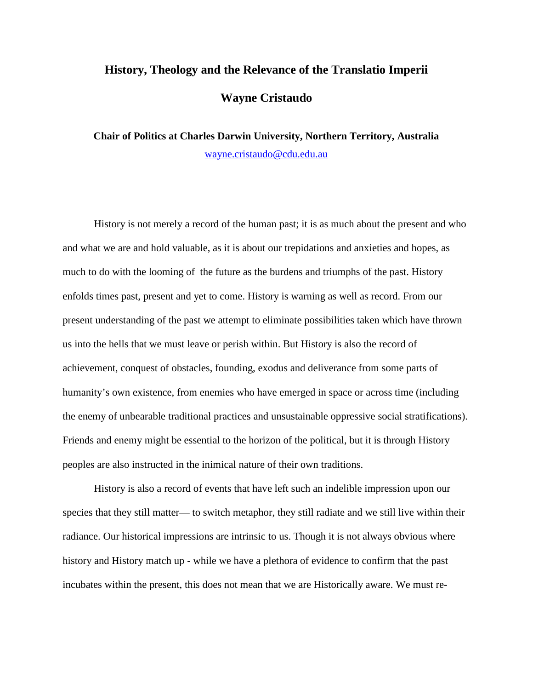## **History, Theology and the Relevance of the Translatio Imperii Wayne Cristaudo**

**Chair of Politics at Charles Darwin University, Northern Territory, Australia** [wayne.cristaudo@cdu.edu.au](mailto:wayne.cristaudo@cdu.edu.au)

History is not merely a record of the human past; it is as much about the present and who and what we are and hold valuable, as it is about our trepidations and anxieties and hopes, as much to do with the looming of the future as the burdens and triumphs of the past. History enfolds times past, present and yet to come. History is warning as well as record. From our present understanding of the past we attempt to eliminate possibilities taken which have thrown us into the hells that we must leave or perish within. But History is also the record of achievement, conquest of obstacles, founding, exodus and deliverance from some parts of humanity's own existence, from enemies who have emerged in space or across time (including the enemy of unbearable traditional practices and unsustainable oppressive social stratifications). Friends and enemy might be essential to the horizon of the political, but it is through History peoples are also instructed in the inimical nature of their own traditions.

History is also a record of events that have left such an indelible impression upon our species that they still matter— to switch metaphor, they still radiate and we still live within their radiance. Our historical impressions are intrinsic to us. Though it is not always obvious where history and History match up - while we have a plethora of evidence to confirm that the past incubates within the present, this does not mean that we are Historically aware. We must re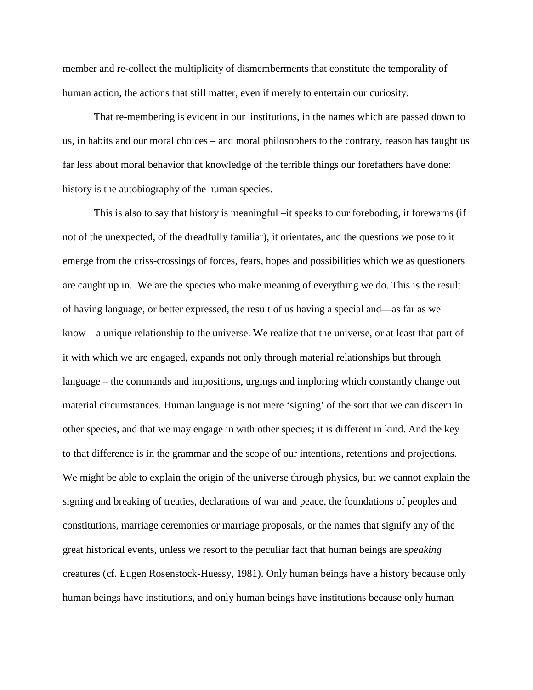member and re-collect the multiplicity of dismemberments that constitute the temporality of human action, the actions that still matter, even if merely to entertain our curiosity.

That re-membering is evident in our institutions, in the names which are passed down to us, in habits and our moral choices – and moral philosophers to the contrary, reason has taught us far less about moral behavior that knowledge of the terrible things our forefathers have done: history is the autobiography of the human species.

This is also to say that history is meaningful –it speaks to our foreboding, it forewarns (if not of the unexpected, of the dreadfully familiar), it orientates, and the questions we pose to it emerge from the criss-crossings of forces, fears, hopes and possibilities which we as questioners are caught up in. We are the species who make meaning of everything we do. This is the result of having language, or better expressed, the result of us having a special and—as far as we know—a unique relationship to the universe. We realize that the universe, or at least that part of it with which we are engaged, expands not only through material relationships but through language – the commands and impositions, urgings and imploring which constantly change out material circumstances. Human language is not mere 'signing' of the sort that we can discern in other species, and that we may engage in with other species; it is different in kind. And the key to that difference is in the grammar and the scope of our intentions, retentions and projections. We might be able to explain the origin of the universe through physics, but we cannot explain the signing and breaking of treaties, declarations of war and peace, the foundations of peoples and constitutions, marriage ceremonies or marriage proposals, or the names that signify any of the great historical events, unless we resort to the peculiar fact that human beings are *speaking* creatures (cf. Eugen Rosenstock-Huessy, 1981). Only human beings have a history because only human beings have institutions, and only human beings have institutions because only human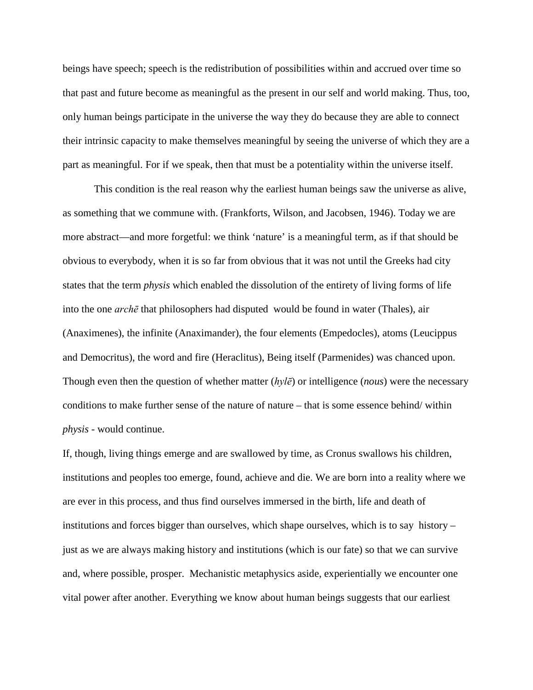beings have speech; speech is the redistribution of possibilities within and accrued over time so that past and future become as meaningful as the present in our self and world making. Thus, too, only human beings participate in the universe the way they do because they are able to connect their intrinsic capacity to make themselves meaningful by seeing the universe of which they are a part as meaningful. For if we speak, then that must be a potentiality within the universe itself.

This condition is the real reason why the earliest human beings saw the universe as alive, as something that we commune with. (Frankforts, Wilson, and Jacobsen, 1946). Today we are more abstract—and more forgetful: we think 'nature' is a meaningful term, as if that should be obvious to everybody, when it is so far from obvious that it was not until the Greeks had city states that the term *physis* which enabled the dissolution of the entirety of living forms of life into the one *archē* that philosophers had disputed would be found in water (Thales), air (Anaximenes), the infinite (Anaximander), the four elements (Empedocles), atoms (Leucippus and Democritus), the word and fire (Heraclitus), Being itself (Parmenides) was chanced upon. Though even then the question of whether matter (*hylē*) or intelligence (*nous*) were the necessary conditions to make further sense of the nature of nature – that is some essence behind/ within *physis -* would continue.

If, though, living things emerge and are swallowed by time, as Cronus swallows his children, institutions and peoples too emerge, found, achieve and die. We are born into a reality where we are ever in this process, and thus find ourselves immersed in the birth, life and death of institutions and forces bigger than ourselves, which shape ourselves, which is to say history – just as we are always making history and institutions (which is our fate) so that we can survive and, where possible, prosper. Mechanistic metaphysics aside, experientially we encounter one vital power after another. Everything we know about human beings suggests that our earliest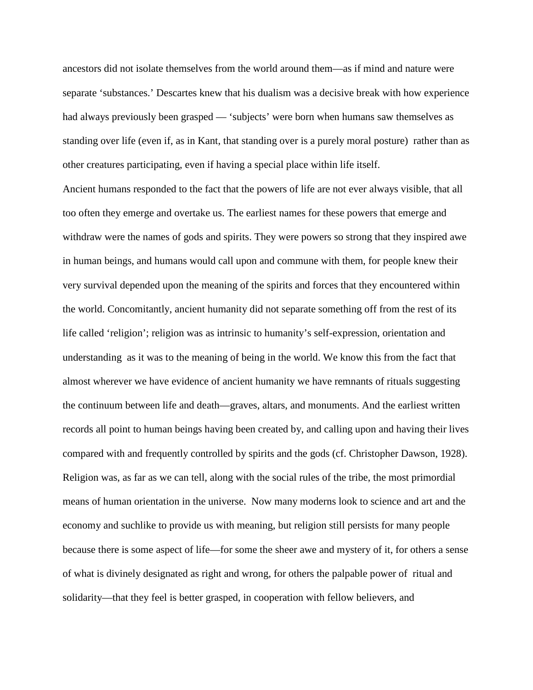ancestors did not isolate themselves from the world around them—as if mind and nature were separate 'substances.' Descartes knew that his dualism was a decisive break with how experience had always previously been grasped — 'subjects' were born when humans saw themselves as standing over life (even if, as in Kant, that standing over is a purely moral posture) rather than as other creatures participating, even if having a special place within life itself.

Ancient humans responded to the fact that the powers of life are not ever always visible, that all too often they emerge and overtake us. The earliest names for these powers that emerge and withdraw were the names of gods and spirits. They were powers so strong that they inspired awe in human beings, and humans would call upon and commune with them, for people knew their very survival depended upon the meaning of the spirits and forces that they encountered within the world. Concomitantly, ancient humanity did not separate something off from the rest of its life called 'religion'; religion was as intrinsic to humanity's self-expression, orientation and understanding as it was to the meaning of being in the world. We know this from the fact that almost wherever we have evidence of ancient humanity we have remnants of rituals suggesting the continuum between life and death—graves, altars, and monuments. And the earliest written records all point to human beings having been created by, and calling upon and having their lives compared with and frequently controlled by spirits and the gods (cf. Christopher Dawson, 1928). Religion was, as far as we can tell, along with the social rules of the tribe, the most primordial means of human orientation in the universe. Now many moderns look to science and art and the economy and suchlike to provide us with meaning, but religion still persists for many people because there is some aspect of life—for some the sheer awe and mystery of it, for others a sense of what is divinely designated as right and wrong, for others the palpable power of ritual and solidarity—that they feel is better grasped, in cooperation with fellow believers, and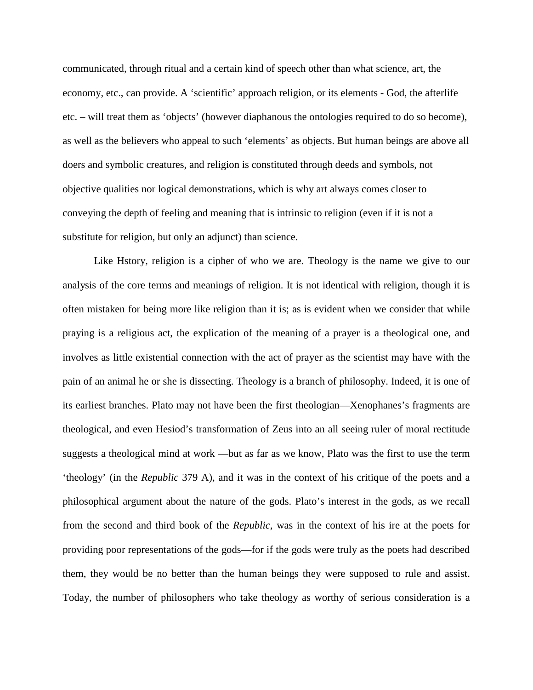communicated, through ritual and a certain kind of speech other than what science, art, the economy, etc., can provide. A 'scientific' approach religion, or its elements - God, the afterlife etc. – will treat them as 'objects' (however diaphanous the ontologies required to do so become), as well as the believers who appeal to such 'elements' as objects. But human beings are above all doers and symbolic creatures, and religion is constituted through deeds and symbols, not objective qualities nor logical demonstrations, which is why art always comes closer to conveying the depth of feeling and meaning that is intrinsic to religion (even if it is not a substitute for religion, but only an adjunct) than science.

Like Hstory, religion is a cipher of who we are. Theology is the name we give to our analysis of the core terms and meanings of religion. It is not identical with religion, though it is often mistaken for being more like religion than it is; as is evident when we consider that while praying is a religious act, the explication of the meaning of a prayer is a theological one, and involves as little existential connection with the act of prayer as the scientist may have with the pain of an animal he or she is dissecting. Theology is a branch of philosophy. Indeed, it is one of its earliest branches. Plato may not have been the first theologian—Xenophanes's fragments are theological, and even Hesiod's transformation of Zeus into an all seeing ruler of moral rectitude suggests a theological mind at work —but as far as we know, Plato was the first to use the term 'theology' (in the *Republic* 379 A), and it was in the context of his critique of the poets and a philosophical argument about the nature of the gods. Plato's interest in the gods, as we recall from the second and third book of the *Republic*, was in the context of his ire at the poets for providing poor representations of the gods—for if the gods were truly as the poets had described them, they would be no better than the human beings they were supposed to rule and assist. Today, the number of philosophers who take theology as worthy of serious consideration is a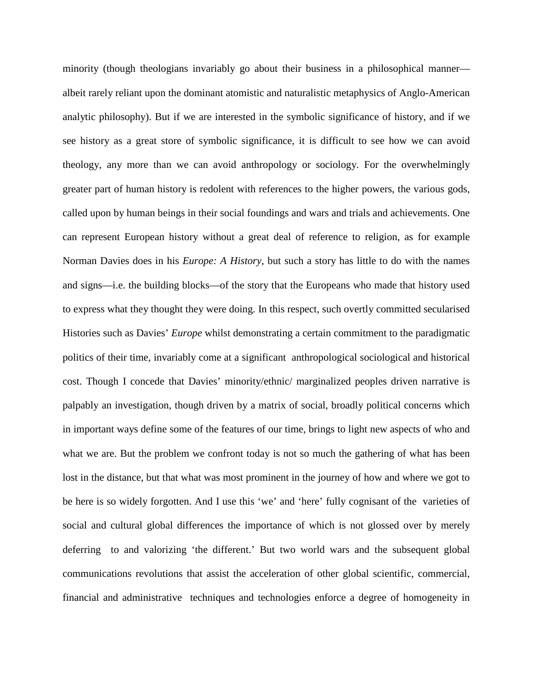minority (though theologians invariably go about their business in a philosophical manner albeit rarely reliant upon the dominant atomistic and naturalistic metaphysics of Anglo-American analytic philosophy). But if we are interested in the symbolic significance of history, and if we see history as a great store of symbolic significance, it is difficult to see how we can avoid theology, any more than we can avoid anthropology or sociology. For the overwhelmingly greater part of human history is redolent with references to the higher powers, the various gods, called upon by human beings in their social foundings and wars and trials and achievements. One can represent European history without a great deal of reference to religion, as for example Norman Davies does in his *Europe: A History*, but such a story has little to do with the names and signs—i.e. the building blocks—of the story that the Europeans who made that history used to express what they thought they were doing. In this respect, such overtly committed secularised Histories such as Davies' *Europe* whilst demonstrating a certain commitment to the paradigmatic politics of their time, invariably come at a significant anthropological sociological and historical cost. Though I concede that Davies' minority/ethnic/ marginalized peoples driven narrative is palpably an investigation, though driven by a matrix of social, broadly political concerns which in important ways define some of the features of our time, brings to light new aspects of who and what we are. But the problem we confront today is not so much the gathering of what has been lost in the distance, but that what was most prominent in the journey of how and where we got to be here is so widely forgotten. And I use this 'we' and 'here' fully cognisant of the varieties of social and cultural global differences the importance of which is not glossed over by merely deferring to and valorizing 'the different.' But two world wars and the subsequent global communications revolutions that assist the acceleration of other global scientific, commercial, financial and administrative techniques and technologies enforce a degree of homogeneity in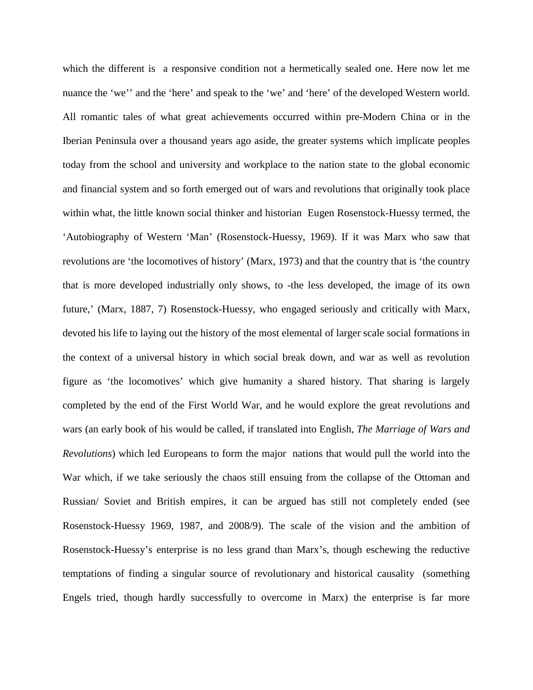which the different is a responsive condition not a hermetically sealed one. Here now let me nuance the 'we'' and the 'here' and speak to the 'we' and 'here' of the developed Western world. All romantic tales of what great achievements occurred within pre-Modern China or in the Iberian Peninsula over a thousand years ago aside, the greater systems which implicate peoples today from the school and university and workplace to the nation state to the global economic and financial system and so forth emerged out of wars and revolutions that originally took place within what, the little known social thinker and historian Eugen Rosenstock-Huessy termed, the 'Autobiography of Western 'Man' (Rosenstock-Huessy, 1969). If it was Marx who saw that revolutions are 'the locomotives of history' (Marx, 1973) and that the country that is 'the country that is more developed industrially only shows, to -the less developed, the image of its own future,' (Marx, 1887, 7) Rosenstock-Huessy, who engaged seriously and critically with Marx, devoted his life to laying out the history of the most elemental of larger scale social formations in the context of a universal history in which social break down, and war as well as revolution figure as 'the locomotives' which give humanity a shared history. That sharing is largely completed by the end of the First World War, and he would explore the great revolutions and wars (an early book of his would be called, if translated into English, *The Marriage of Wars and Revolutions*) which led Europeans to form the major nations that would pull the world into the War which, if we take seriously the chaos still ensuing from the collapse of the Ottoman and Russian/ Soviet and British empires, it can be argued has still not completely ended (see Rosenstock-Huessy 1969, 1987, and 2008/9). The scale of the vision and the ambition of Rosenstock-Huessy's enterprise is no less grand than Marx's, though eschewing the reductive temptations of finding a singular source of revolutionary and historical causality (something Engels tried, though hardly successfully to overcome in Marx) the enterprise is far more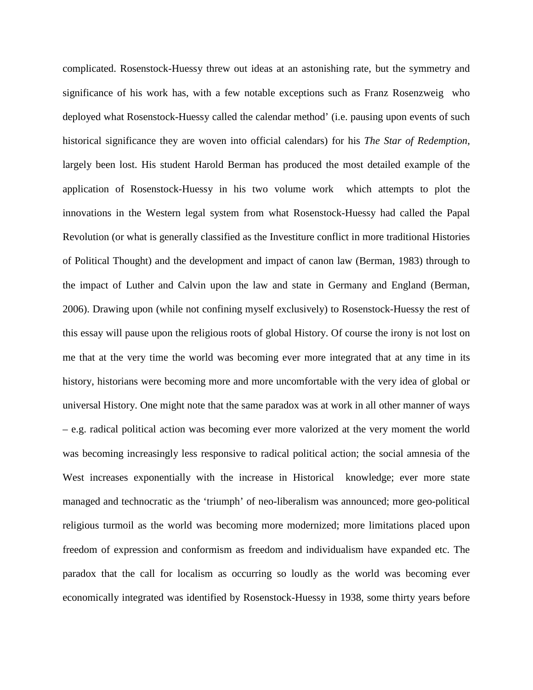complicated. Rosenstock-Huessy threw out ideas at an astonishing rate, but the symmetry and significance of his work has, with a few notable exceptions such as Franz Rosenzweig who deployed what Rosenstock-Huessy called the calendar method' (i.e. pausing upon events of such historical significance they are woven into official calendars) for his *The Star of Redemption*, largely been lost. His student Harold Berman has produced the most detailed example of the application of Rosenstock-Huessy in his two volume work which attempts to plot the innovations in the Western legal system from what Rosenstock-Huessy had called the Papal Revolution (or what is generally classified as the Investiture conflict in more traditional Histories of Political Thought) and the development and impact of canon law (Berman, 1983) through to the impact of Luther and Calvin upon the law and state in Germany and England (Berman, 2006). Drawing upon (while not confining myself exclusively) to Rosenstock-Huessy the rest of this essay will pause upon the religious roots of global History. Of course the irony is not lost on me that at the very time the world was becoming ever more integrated that at any time in its history, historians were becoming more and more uncomfortable with the very idea of global or universal History. One might note that the same paradox was at work in all other manner of ways – e.g. radical political action was becoming ever more valorized at the very moment the world was becoming increasingly less responsive to radical political action; the social amnesia of the West increases exponentially with the increase in Historical knowledge; ever more state managed and technocratic as the 'triumph' of neo-liberalism was announced; more geo-political religious turmoil as the world was becoming more modernized; more limitations placed upon freedom of expression and conformism as freedom and individualism have expanded etc. The paradox that the call for localism as occurring so loudly as the world was becoming ever economically integrated was identified by Rosenstock-Huessy in 1938, some thirty years before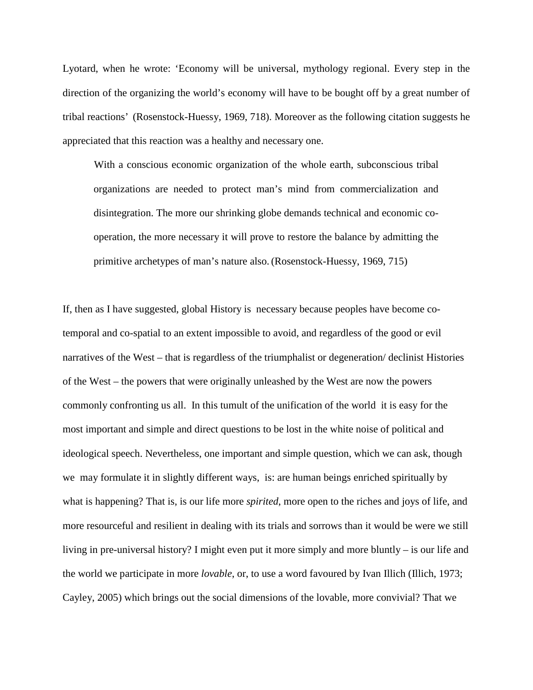Lyotard, when he wrote: 'Economy will be universal, mythology regional. Every step in the direction of the organizing the world's economy will have to be bought off by a great number of tribal reactions' (Rosenstock-Huessy, 1969, 718). Moreover as the following citation suggests he appreciated that this reaction was a healthy and necessary one.

With a conscious economic organization of the whole earth, subconscious tribal organizations are needed to protect man's mind from commercialization and disintegration. The more our shrinking globe demands technical and economic cooperation, the more necessary it will prove to restore the balance by admitting the primitive archetypes of man's nature also. (Rosenstock-Huessy, 1969, 715)

If, then as I have suggested, global History is necessary because peoples have become cotemporal and co-spatial to an extent impossible to avoid, and regardless of the good or evil narratives of the West – that is regardless of the triumphalist or degeneration/ declinist Histories of the West – the powers that were originally unleashed by the West are now the powers commonly confronting us all. In this tumult of the unification of the world it is easy for the most important and simple and direct questions to be lost in the white noise of political and ideological speech. Nevertheless, one important and simple question, which we can ask, though we may formulate it in slightly different ways, is: are human beings enriched spiritually by what is happening? That is, is our life more *spirited*, more open to the riches and joys of life, and more resourceful and resilient in dealing with its trials and sorrows than it would be were we still living in pre-universal history? I might even put it more simply and more bluntly – is our life and the world we participate in more *lovable*, or, to use a word favoured by Ivan Illich (Illich, 1973; Cayley, 2005) which brings out the social dimensions of the lovable, more convivial? That we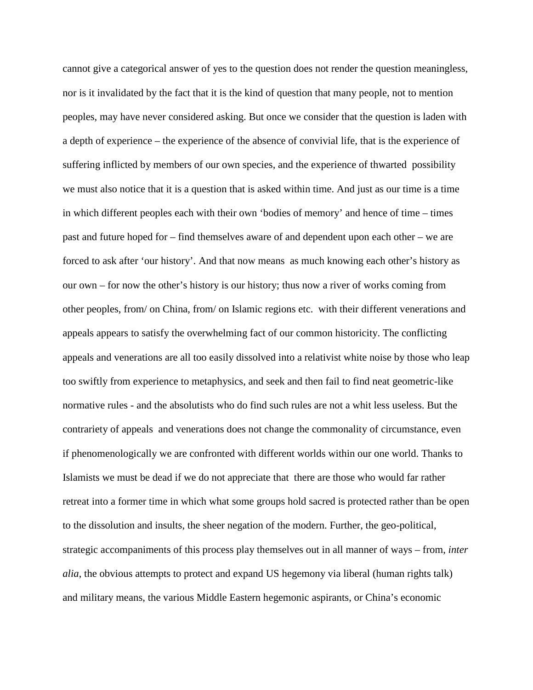cannot give a categorical answer of yes to the question does not render the question meaningless, nor is it invalidated by the fact that it is the kind of question that many people, not to mention peoples, may have never considered asking. But once we consider that the question is laden with a depth of experience – the experience of the absence of convivial life, that is the experience of suffering inflicted by members of our own species, and the experience of thwarted possibility we must also notice that it is a question that is asked within time. And just as our time is a time in which different peoples each with their own 'bodies of memory' and hence of time – times past and future hoped for – find themselves aware of and dependent upon each other – we are forced to ask after 'our history'. And that now means as much knowing each other's history as our own – for now the other's history is our history; thus now a river of works coming from other peoples, from/ on China, from/ on Islamic regions etc. with their different venerations and appeals appears to satisfy the overwhelming fact of our common historicity. The conflicting appeals and venerations are all too easily dissolved into a relativist white noise by those who leap too swiftly from experience to metaphysics, and seek and then fail to find neat geometric-like normative rules - and the absolutists who do find such rules are not a whit less useless. But the contrariety of appeals and venerations does not change the commonality of circumstance, even if phenomenologically we are confronted with different worlds within our one world. Thanks to Islamists we must be dead if we do not appreciate that there are those who would far rather retreat into a former time in which what some groups hold sacred is protected rather than be open to the dissolution and insults, the sheer negation of the modern. Further, the geo-political, strategic accompaniments of this process play themselves out in all manner of ways – from, *inter alia*, the obvious attempts to protect and expand US hegemony via liberal (human rights talk) and military means, the various Middle Eastern hegemonic aspirants, or China's economic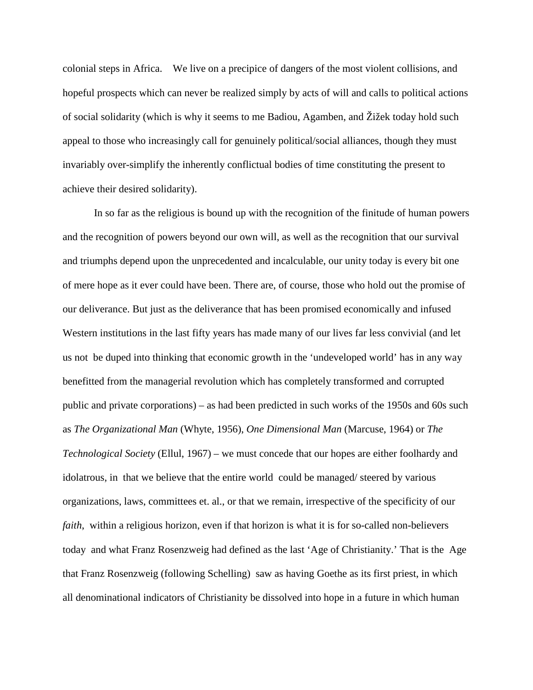colonial steps in Africa. We live on a precipice of dangers of the most violent collisions, and hopeful prospects which can never be realized simply by acts of will and calls to political actions of social solidarity (which is why it seems to me Badiou, Agamben, and Žižek today hold such appeal to those who increasingly call for genuinely political/social alliances, though they must invariably over-simplify the inherently conflictual bodies of time constituting the present to achieve their desired solidarity).

In so far as the religious is bound up with the recognition of the finitude of human powers and the recognition of powers beyond our own will, as well as the recognition that our survival and triumphs depend upon the unprecedented and incalculable, our unity today is every bit one of mere hope as it ever could have been. There are, of course, those who hold out the promise of our deliverance. But just as the deliverance that has been promised economically and infused Western institutions in the last fifty years has made many of our lives far less convivial (and let us not be duped into thinking that economic growth in the 'undeveloped world' has in any way benefitted from the managerial revolution which has completely transformed and corrupted public and private corporations) – as had been predicted in such works of the 1950s and 60s such as *The Organizational Man* (Whyte, 1956), *One Dimensional Man* (Marcuse, 1964) or *The Technological Society* (Ellul, 1967) – we must concede that our hopes are either foolhardy and idolatrous, in that we believe that the entire world could be managed/ steered by various organizations, laws, committees et. al., or that we remain, irrespective of the specificity of our *faith*, within a religious horizon, even if that horizon is what it is for so-called non-believers today and what Franz Rosenzweig had defined as the last 'Age of Christianity.' That is the Age that Franz Rosenzweig (following Schelling) saw as having Goethe as its first priest, in which all denominational indicators of Christianity be dissolved into hope in a future in which human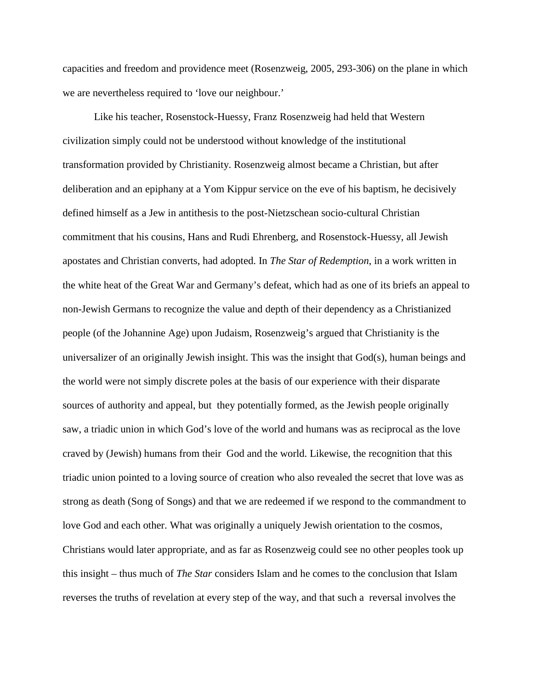capacities and freedom and providence meet (Rosenzweig, 2005, 293-306) on the plane in which we are nevertheless required to 'love our neighbour.'

Like his teacher, Rosenstock-Huessy, Franz Rosenzweig had held that Western civilization simply could not be understood without knowledge of the institutional transformation provided by Christianity. Rosenzweig almost became a Christian, but after deliberation and an epiphany at a Yom Kippur service on the eve of his baptism, he decisively defined himself as a Jew in antithesis to the post-Nietzschean socio-cultural Christian commitment that his cousins, Hans and Rudi Ehrenberg, and Rosenstock-Huessy, all Jewish apostates and Christian converts, had adopted. In *The Star of Redemption*, in a work written in the white heat of the Great War and Germany's defeat, which had as one of its briefs an appeal to non-Jewish Germans to recognize the value and depth of their dependency as a Christianized people (of the Johannine Age) upon Judaism, Rosenzweig's argued that Christianity is the universalizer of an originally Jewish insight. This was the insight that God(s), human beings and the world were not simply discrete poles at the basis of our experience with their disparate sources of authority and appeal, but they potentially formed, as the Jewish people originally saw, a triadic union in which God's love of the world and humans was as reciprocal as the love craved by (Jewish) humans from their God and the world. Likewise, the recognition that this triadic union pointed to a loving source of creation who also revealed the secret that love was as strong as death (Song of Songs) and that we are redeemed if we respond to the commandment to love God and each other. What was originally a uniquely Jewish orientation to the cosmos, Christians would later appropriate, and as far as Rosenzweig could see no other peoples took up this insight – thus much of *The Star* considers Islam and he comes to the conclusion that Islam reverses the truths of revelation at every step of the way, and that such a reversal involves the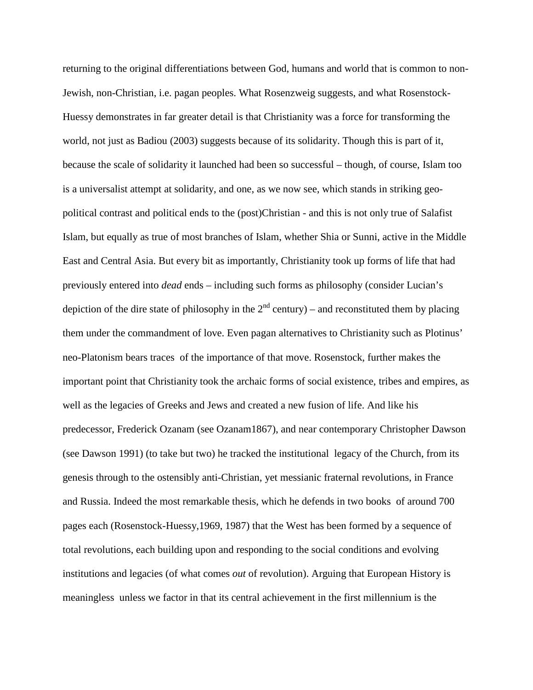returning to the original differentiations between God, humans and world that is common to non-Jewish, non-Christian, i.e. pagan peoples. What Rosenzweig suggests, and what Rosenstock-Huessy demonstrates in far greater detail is that Christianity was a force for transforming the world, not just as Badiou (2003) suggests because of its solidarity. Though this is part of it, because the scale of solidarity it launched had been so successful – though, of course, Islam too is a universalist attempt at solidarity, and one, as we now see, which stands in striking geopolitical contrast and political ends to the (post)Christian - and this is not only true of Salafist Islam, but equally as true of most branches of Islam, whether Shia or Sunni, active in the Middle East and Central Asia. But every bit as importantly, Christianity took up forms of life that had previously entered into *dead* ends – including such forms as philosophy (consider Lucian's depiction of the dire state of philosophy in the  $2<sup>nd</sup>$  century) – and reconstituted them by placing them under the commandment of love. Even pagan alternatives to Christianity such as Plotinus' neo-Platonism bears traces of the importance of that move. Rosenstock, further makes the important point that Christianity took the archaic forms of social existence, tribes and empires, as well as the legacies of Greeks and Jews and created a new fusion of life. And like his predecessor, Frederick Ozanam (see Ozanam1867), and near contemporary Christopher Dawson (see Dawson 1991) (to take but two) he tracked the institutional legacy of the Church, from its genesis through to the ostensibly anti-Christian, yet messianic fraternal revolutions, in France and Russia. Indeed the most remarkable thesis, which he defends in two books of around 700 pages each (Rosenstock-Huessy,1969, 1987) that the West has been formed by a sequence of total revolutions, each building upon and responding to the social conditions and evolving institutions and legacies (of what comes *out* of revolution). Arguing that European History is meaningless unless we factor in that its central achievement in the first millennium is the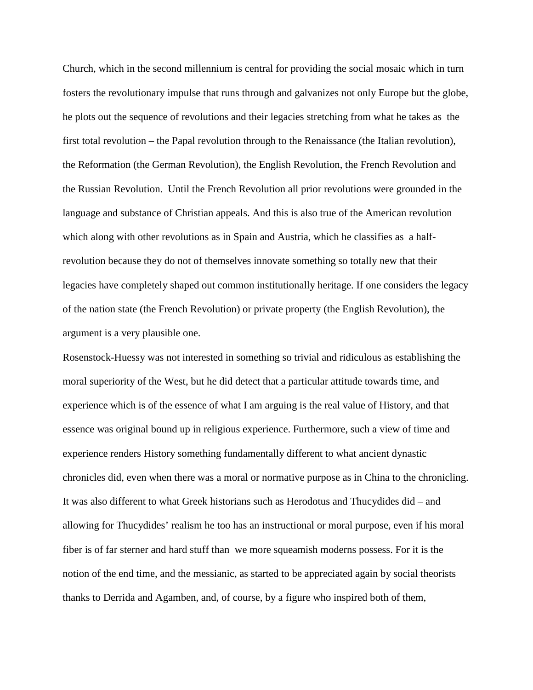Church, which in the second millennium is central for providing the social mosaic which in turn fosters the revolutionary impulse that runs through and galvanizes not only Europe but the globe, he plots out the sequence of revolutions and their legacies stretching from what he takes as the first total revolution – the Papal revolution through to the Renaissance (the Italian revolution), the Reformation (the German Revolution), the English Revolution, the French Revolution and the Russian Revolution. Until the French Revolution all prior revolutions were grounded in the language and substance of Christian appeals. And this is also true of the American revolution which along with other revolutions as in Spain and Austria, which he classifies as a halfrevolution because they do not of themselves innovate something so totally new that their legacies have completely shaped out common institutionally heritage. If one considers the legacy of the nation state (the French Revolution) or private property (the English Revolution), the argument is a very plausible one.

Rosenstock-Huessy was not interested in something so trivial and ridiculous as establishing the moral superiority of the West, but he did detect that a particular attitude towards time, and experience which is of the essence of what I am arguing is the real value of History, and that essence was original bound up in religious experience. Furthermore, such a view of time and experience renders History something fundamentally different to what ancient dynastic chronicles did, even when there was a moral or normative purpose as in China to the chronicling. It was also different to what Greek historians such as Herodotus and Thucydides did – and allowing for Thucydides' realism he too has an instructional or moral purpose, even if his moral fiber is of far sterner and hard stuff than we more squeamish moderns possess. For it is the notion of the end time, and the messianic, as started to be appreciated again by social theorists thanks to Derrida and Agamben, and, of course, by a figure who inspired both of them,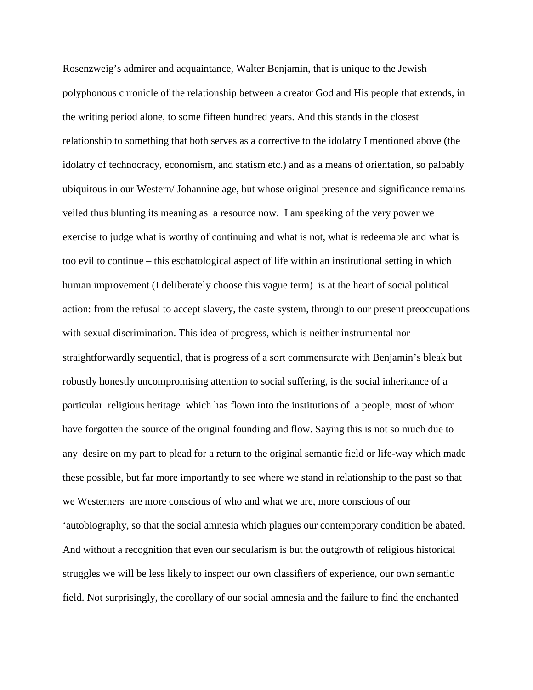Rosenzweig's admirer and acquaintance, Walter Benjamin, that is unique to the Jewish polyphonous chronicle of the relationship between a creator God and His people that extends, in the writing period alone, to some fifteen hundred years. And this stands in the closest relationship to something that both serves as a corrective to the idolatry I mentioned above (the idolatry of technocracy, economism, and statism etc.) and as a means of orientation, so palpably ubiquitous in our Western/ Johannine age, but whose original presence and significance remains veiled thus blunting its meaning as a resource now. I am speaking of the very power we exercise to judge what is worthy of continuing and what is not, what is redeemable and what is too evil to continue – this eschatological aspect of life within an institutional setting in which human improvement (I deliberately choose this vague term) is at the heart of social political action: from the refusal to accept slavery, the caste system, through to our present preoccupations with sexual discrimination. This idea of progress, which is neither instrumental nor straightforwardly sequential, that is progress of a sort commensurate with Benjamin's bleak but robustly honestly uncompromising attention to social suffering, is the social inheritance of a particular religious heritage which has flown into the institutions of a people, most of whom have forgotten the source of the original founding and flow. Saying this is not so much due to any desire on my part to plead for a return to the original semantic field or life-way which made these possible, but far more importantly to see where we stand in relationship to the past so that we Westerners are more conscious of who and what we are, more conscious of our 'autobiography, so that the social amnesia which plagues our contemporary condition be abated. And without a recognition that even our secularism is but the outgrowth of religious historical struggles we will be less likely to inspect our own classifiers of experience, our own semantic field. Not surprisingly, the corollary of our social amnesia and the failure to find the enchanted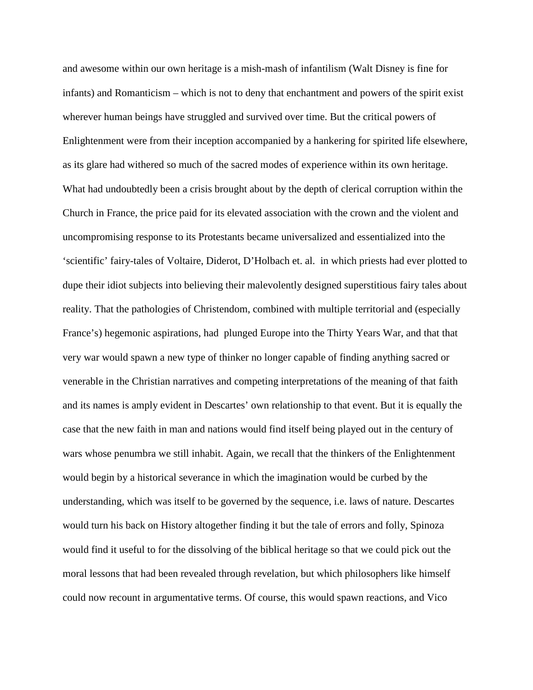and awesome within our own heritage is a mish-mash of infantilism (Walt Disney is fine for infants) and Romanticism – which is not to deny that enchantment and powers of the spirit exist wherever human beings have struggled and survived over time. But the critical powers of Enlightenment were from their inception accompanied by a hankering for spirited life elsewhere, as its glare had withered so much of the sacred modes of experience within its own heritage. What had undoubtedly been a crisis brought about by the depth of clerical corruption within the Church in France, the price paid for its elevated association with the crown and the violent and uncompromising response to its Protestants became universalized and essentialized into the 'scientific' fairy-tales of Voltaire, Diderot, D'Holbach et. al. in which priests had ever plotted to dupe their idiot subjects into believing their malevolently designed superstitious fairy tales about reality. That the pathologies of Christendom, combined with multiple territorial and (especially France's) hegemonic aspirations, had plunged Europe into the Thirty Years War, and that that very war would spawn a new type of thinker no longer capable of finding anything sacred or venerable in the Christian narratives and competing interpretations of the meaning of that faith and its names is amply evident in Descartes' own relationship to that event. But it is equally the case that the new faith in man and nations would find itself being played out in the century of wars whose penumbra we still inhabit. Again, we recall that the thinkers of the Enlightenment would begin by a historical severance in which the imagination would be curbed by the understanding, which was itself to be governed by the sequence, i.e. laws of nature. Descartes would turn his back on History altogether finding it but the tale of errors and folly, Spinoza would find it useful to for the dissolving of the biblical heritage so that we could pick out the moral lessons that had been revealed through revelation, but which philosophers like himself could now recount in argumentative terms. Of course, this would spawn reactions, and Vico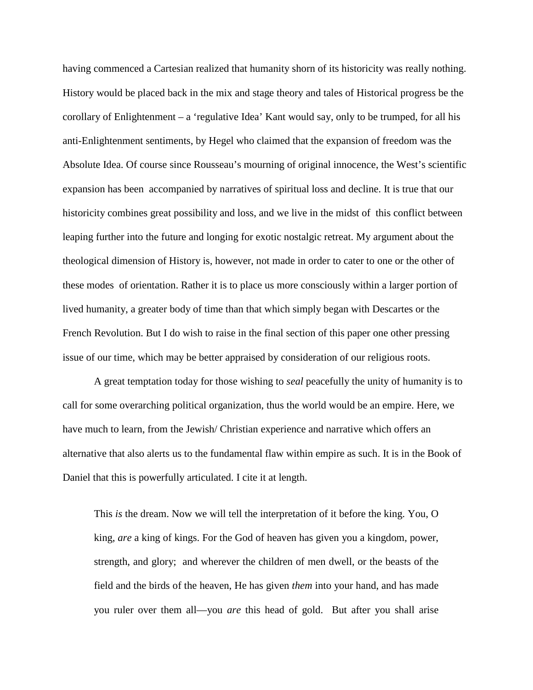having commenced a Cartesian realized that humanity shorn of its historicity was really nothing. History would be placed back in the mix and stage theory and tales of Historical progress be the corollary of Enlightenment – a 'regulative Idea' Kant would say, only to be trumped, for all his anti-Enlightenment sentiments, by Hegel who claimed that the expansion of freedom was the Absolute Idea. Of course since Rousseau's mourning of original innocence, the West's scientific expansion has been accompanied by narratives of spiritual loss and decline. It is true that our historicity combines great possibility and loss, and we live in the midst of this conflict between leaping further into the future and longing for exotic nostalgic retreat. My argument about the theological dimension of History is, however, not made in order to cater to one or the other of these modes of orientation. Rather it is to place us more consciously within a larger portion of lived humanity, a greater body of time than that which simply began with Descartes or the French Revolution. But I do wish to raise in the final section of this paper one other pressing issue of our time, which may be better appraised by consideration of our religious roots.

 A great temptation today for those wishing to *seal* peacefully the unity of humanity is to call for some overarching political organization, thus the world would be an empire. Here, we have much to learn, from the Jewish/ Christian experience and narrative which offers an alternative that also alerts us to the fundamental flaw within empire as such. It is in the Book of Daniel that this is powerfully articulated. I cite it at length.

This *is* the dream. Now we will tell the interpretation of it before the king. You, O king, *are* a king of kings. For the God of heaven has given you a kingdom, power, strength, and glory; and wherever the children of men dwell, or the beasts of the field and the birds of the heaven, He has given *them* into your hand, and has made you ruler over them all—you *are* this head of gold. But after you shall arise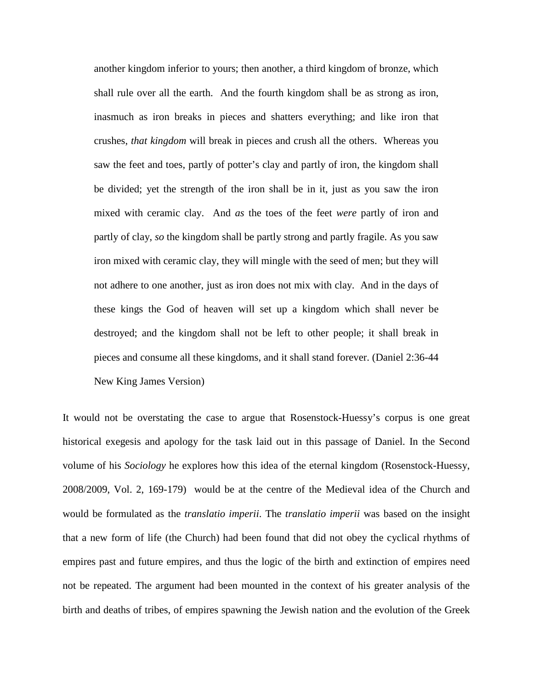another kingdom inferior to yours; then another, a third kingdom of bronze, which shall rule over all the earth. And the fourth kingdom shall be as strong as iron, inasmuch as iron breaks in pieces and shatters everything; and like iron that crushes, *that kingdom* will break in pieces and crush all the others. Whereas you saw the feet and toes, partly of potter's clay and partly of iron, the kingdom shall be divided; yet the strength of the iron shall be in it, just as you saw the iron mixed with ceramic clay. And *as* the toes of the feet *were* partly of iron and partly of clay, *so* the kingdom shall be partly strong and partly fragile. As you saw iron mixed with ceramic clay, they will mingle with the seed of men; but they will not adhere to one another, just as iron does not mix with clay. And in the days of these kings the God of heaven will set up a kingdom which shall never be destroyed; and the kingdom shall not be left to other people; it shall break in pieces and consume all these kingdoms, and it shall stand forever. (Daniel 2:36-44 New King James Version)

It would not be overstating the case to argue that Rosenstock-Huessy's corpus is one great historical exegesis and apology for the task laid out in this passage of Daniel. In the Second volume of his *Sociology* he explores how this idea of the eternal kingdom (Rosenstock-Huessy, 2008/2009, Vol. 2, 169-179) would be at the centre of the Medieval idea of the Church and would be formulated as the *translatio imperii*. The *translatio imperii* was based on the insight that a new form of life (the Church) had been found that did not obey the cyclical rhythms of empires past and future empires, and thus the logic of the birth and extinction of empires need not be repeated. The argument had been mounted in the context of his greater analysis of the birth and deaths of tribes, of empires spawning the Jewish nation and the evolution of the Greek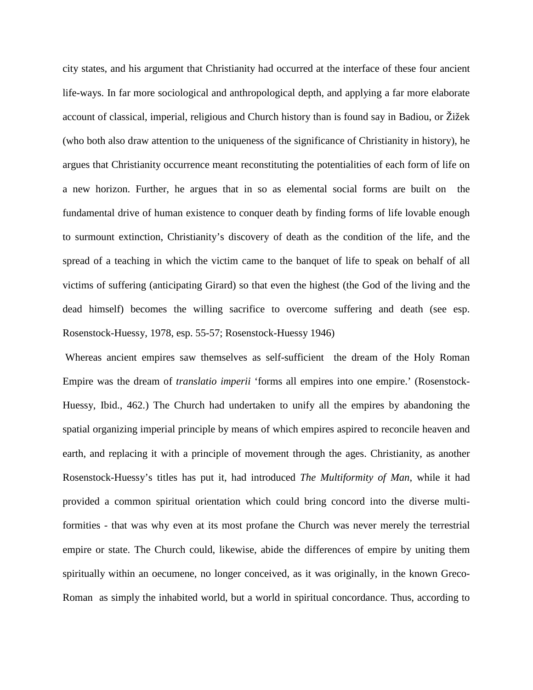city states, and his argument that Christianity had occurred at the interface of these four ancient life-ways. In far more sociological and anthropological depth, and applying a far more elaborate account of classical, imperial, religious and Church history than is found say in Badiou, or Žižek (who both also draw attention to the uniqueness of the significance of Christianity in history), he argues that Christianity occurrence meant reconstituting the potentialities of each form of life on a new horizon. Further, he argues that in so as elemental social forms are built on the fundamental drive of human existence to conquer death by finding forms of life lovable enough to surmount extinction, Christianity's discovery of death as the condition of the life, and the spread of a teaching in which the victim came to the banquet of life to speak on behalf of all victims of suffering (anticipating Girard) so that even the highest (the God of the living and the dead himself) becomes the willing sacrifice to overcome suffering and death (see esp. Rosenstock-Huessy, 1978, esp. 55-57; Rosenstock-Huessy 1946)

Whereas ancient empires saw themselves as self-sufficient the dream of the Holy Roman Empire was the dream of *translatio imperii* 'forms all empires into one empire.' (Rosenstock-Huessy, Ibid., 462.) The Church had undertaken to unify all the empires by abandoning the spatial organizing imperial principle by means of which empires aspired to reconcile heaven and earth, and replacing it with a principle of movement through the ages. Christianity, as another Rosenstock-Huessy's titles has put it, had introduced *The Multiformity of Man*, while it had provided a common spiritual orientation which could bring concord into the diverse multiformities - that was why even at its most profane the Church was never merely the terrestrial empire or state. The Church could, likewise, abide the differences of empire by uniting them spiritually within an oecumene, no longer conceived, as it was originally, in the known Greco-Roman as simply the inhabited world, but a world in spiritual concordance. Thus, according to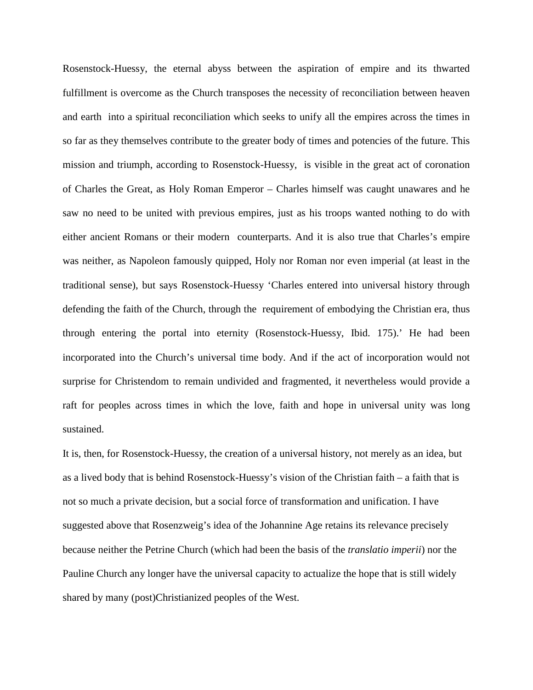Rosenstock-Huessy, the eternal abyss between the aspiration of empire and its thwarted fulfillment is overcome as the Church transposes the necessity of reconciliation between heaven and earth into a spiritual reconciliation which seeks to unify all the empires across the times in so far as they themselves contribute to the greater body of times and potencies of the future. This mission and triumph, according to Rosenstock-Huessy, is visible in the great act of coronation of Charles the Great, as Holy Roman Emperor – Charles himself was caught unawares and he saw no need to be united with previous empires, just as his troops wanted nothing to do with either ancient Romans or their modern counterparts. And it is also true that Charles's empire was neither, as Napoleon famously quipped, Holy nor Roman nor even imperial (at least in the traditional sense), but says Rosenstock-Huessy 'Charles entered into universal history through defending the faith of the Church, through the requirement of embodying the Christian era, thus through entering the portal into eternity (Rosenstock-Huessy, Ibid. 175).' He had been incorporated into the Church's universal time body. And if the act of incorporation would not surprise for Christendom to remain undivided and fragmented, it nevertheless would provide a raft for peoples across times in which the love, faith and hope in universal unity was long sustained.

It is, then, for Rosenstock-Huessy, the creation of a universal history, not merely as an idea, but as a lived body that is behind Rosenstock-Huessy's vision of the Christian faith – a faith that is not so much a private decision, but a social force of transformation and unification. I have suggested above that Rosenzweig's idea of the Johannine Age retains its relevance precisely because neither the Petrine Church (which had been the basis of the *translatio imperii*) nor the Pauline Church any longer have the universal capacity to actualize the hope that is still widely shared by many (post)Christianized peoples of the West.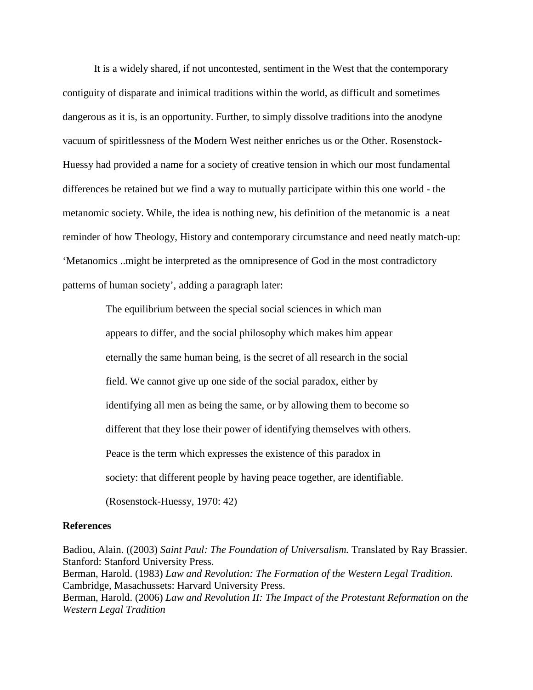It is a widely shared, if not uncontested, sentiment in the West that the contemporary contiguity of disparate and inimical traditions within the world, as difficult and sometimes dangerous as it is, is an opportunity. Further, to simply dissolve traditions into the anodyne vacuum of spiritlessness of the Modern West neither enriches us or the Other. Rosenstock-Huessy had provided a name for a society of creative tension in which our most fundamental differences be retained but we find a way to mutually participate within this one world - the metanomic society. While, the idea is nothing new, his definition of the metanomic is a neat reminder of how Theology, History and contemporary circumstance and need neatly match-up: 'Metanomics ..might be interpreted as the omnipresence of God in the most contradictory patterns of human society', adding a paragraph later:

> The equilibrium between the special social sciences in which man appears to differ, and the social philosophy which makes him appear eternally the same human being, is the secret of all research in the social field. We cannot give up one side of the social paradox, either by identifying all men as being the same, or by allowing them to become so different that they lose their power of identifying themselves with others. Peace is the term which expresses the existence of this paradox in society: that different people by having peace together, are identifiable. (Rosenstock-Huessy, 1970: 42)

## **References**

Badiou, Alain. ((2003) *Saint Paul: The Foundation of Universalism.* Translated by Ray Brassier. Stanford: Stanford University Press. Berman, Harold. (1983) *Law and Revolution: The Formation of the Western Legal Tradition.*  Cambridge, Masachussets: Harvard University Press. Berman, Harold. (2006) *Law and Revolution II: The Impact of the Protestant Reformation on the Western Legal Tradition*